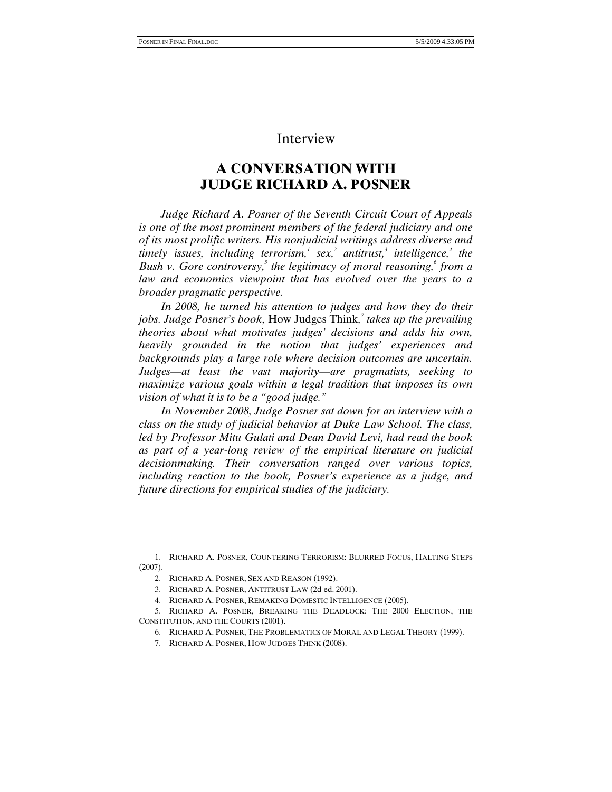## Interview

## **A CONVERSATION WITH JUDGE RICHARD A. POSNER**

*Judge Richard A. Posner of the Seventh Circuit Court of Appeals is one of the most prominent members of the federal judiciary and one of its most prolific writers. His nonjudicial writings address diverse and timely issues, including terrorism,<sup>1</sup> sex,<sup>2</sup> antitrust,<sup>3</sup> intelligence,<sup>4</sup> the Bush v. Gore controversy,*<sup>5</sup> the legitimacy of moral reasoning,<sup>6</sup> from a *law and economics viewpoint that has evolved over the years to a broader pragmatic perspective.* 

*In 2008, he turned his attention to judges and how they do their jobs. Judge Posner's book,* How Judges Think*, 7 takes up the prevailing theories about what motivates judges' decisions and adds his own, heavily grounded in the notion that judges' experiences and backgrounds play a large role where decision outcomes are uncertain. Judges—at least the vast majority—are pragmatists, seeking to maximize various goals within a legal tradition that imposes its own vision of what it is to be a "good judge."* 

*In November 2008, Judge Posner sat down for an interview with a class on the study of judicial behavior at Duke Law School. The class, led by Professor Mitu Gulati and Dean David Levi, had read the book as part of a year-long review of the empirical literature on judicial decisionmaking. Their conversation ranged over various topics, including reaction to the book, Posner's experience as a judge, and future directions for empirical studies of the judiciary.* 

 <sup>1.</sup> RICHARD A. POSNER, COUNTERING TERRORISM: BLURRED FOCUS, HALTING STEPS (2007).

 <sup>2.</sup> RICHARD A. POSNER, SEX AND REASON (1992).

 <sup>3.</sup> RICHARD A. POSNER, ANTITRUST LAW (2d ed. 2001).

 <sup>4.</sup> RICHARD A. POSNER, REMAKING DOMESTIC INTELLIGENCE (2005).

 <sup>5.</sup> RICHARD A. POSNER, BREAKING THE DEADLOCK: THE 2000 ELECTION, THE CONSTITUTION, AND THE COURTS (2001).

 <sup>6.</sup> RICHARD A. POSNER, THE PROBLEMATICS OF MORAL AND LEGAL THEORY (1999).

 <sup>7.</sup> RICHARD A. POSNER, HOW JUDGES THINK (2008).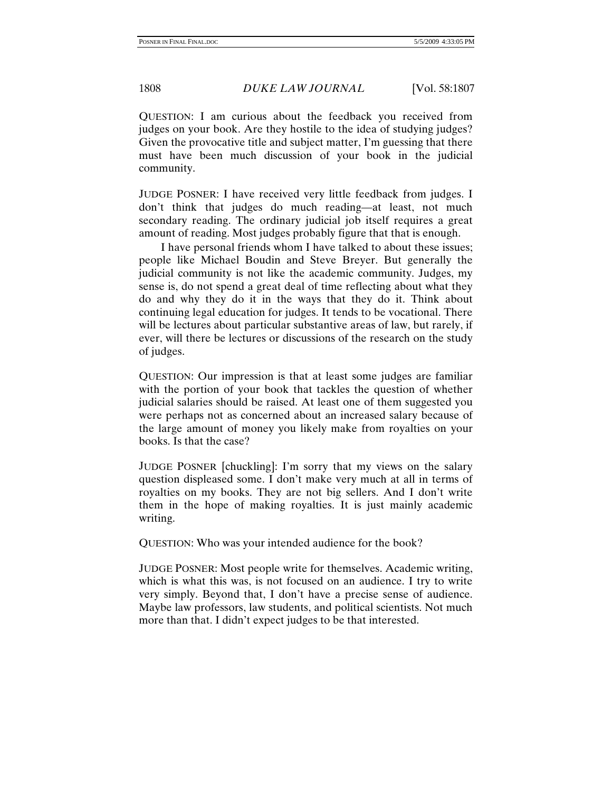QUESTION: I am curious about the feedback you received from judges on your book. Are they hostile to the idea of studying judges? Given the provocative title and subject matter, I'm guessing that there must have been much discussion of your book in the judicial community.

JUDGE POSNER: I have received very little feedback from judges. I don't think that judges do much reading—at least, not much secondary reading. The ordinary judicial job itself requires a great amount of reading. Most judges probably figure that that is enough.

I have personal friends whom I have talked to about these issues; people like Michael Boudin and Steve Breyer. But generally the judicial community is not like the academic community. Judges, my sense is, do not spend a great deal of time reflecting about what they do and why they do it in the ways that they do it. Think about continuing legal education for judges. It tends to be vocational. There will be lectures about particular substantive areas of law, but rarely, if ever, will there be lectures or discussions of the research on the study of judges.

QUESTION: Our impression is that at least some judges are familiar with the portion of your book that tackles the question of whether judicial salaries should be raised. At least one of them suggested you were perhaps not as concerned about an increased salary because of the large amount of money you likely make from royalties on your books. Is that the case?

JUDGE POSNER [chuckling]: I'm sorry that my views on the salary question displeased some. I don't make very much at all in terms of royalties on my books. They are not big sellers. And I don't write them in the hope of making royalties. It is just mainly academic writing.

QUESTION: Who was your intended audience for the book?

JUDGE POSNER: Most people write for themselves. Academic writing, which is what this was, is not focused on an audience. I try to write very simply. Beyond that, I don't have a precise sense of audience. Maybe law professors, law students, and political scientists. Not much more than that. I didn't expect judges to be that interested.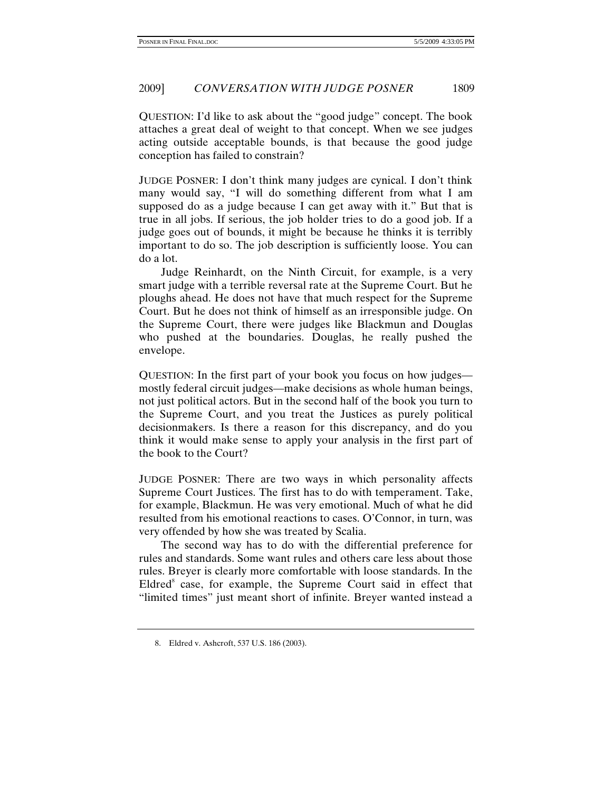QUESTION: I'd like to ask about the "good judge" concept. The book attaches a great deal of weight to that concept. When we see judges acting outside acceptable bounds, is that because the good judge conception has failed to constrain?

JUDGE POSNER: I don't think many judges are cynical. I don't think many would say, "I will do something different from what I am supposed do as a judge because I can get away with it." But that is true in all jobs. If serious, the job holder tries to do a good job. If a judge goes out of bounds, it might be because he thinks it is terribly important to do so. The job description is sufficiently loose. You can do a lot.

Judge Reinhardt, on the Ninth Circuit, for example, is a very smart judge with a terrible reversal rate at the Supreme Court. But he ploughs ahead. He does not have that much respect for the Supreme Court. But he does not think of himself as an irresponsible judge. On the Supreme Court, there were judges like Blackmun and Douglas who pushed at the boundaries. Douglas, he really pushed the envelope.

QUESTION: In the first part of your book you focus on how judges mostly federal circuit judges—make decisions as whole human beings, not just political actors. But in the second half of the book you turn to the Supreme Court, and you treat the Justices as purely political decisionmakers. Is there a reason for this discrepancy, and do you think it would make sense to apply your analysis in the first part of the book to the Court?

JUDGE POSNER: There are two ways in which personality affects Supreme Court Justices. The first has to do with temperament. Take, for example, Blackmun. He was very emotional. Much of what he did resulted from his emotional reactions to cases. O'Connor, in turn, was very offended by how she was treated by Scalia.

The second way has to do with the differential preference for rules and standards. Some want rules and others care less about those rules. Breyer is clearly more comfortable with loose standards. In the Eldred<sup>8</sup> case, for example, the Supreme Court said in effect that "limited times" just meant short of infinite. Breyer wanted instead a

 <sup>8.</sup> Eldred v. Ashcroft, 537 U.S. 186 (2003).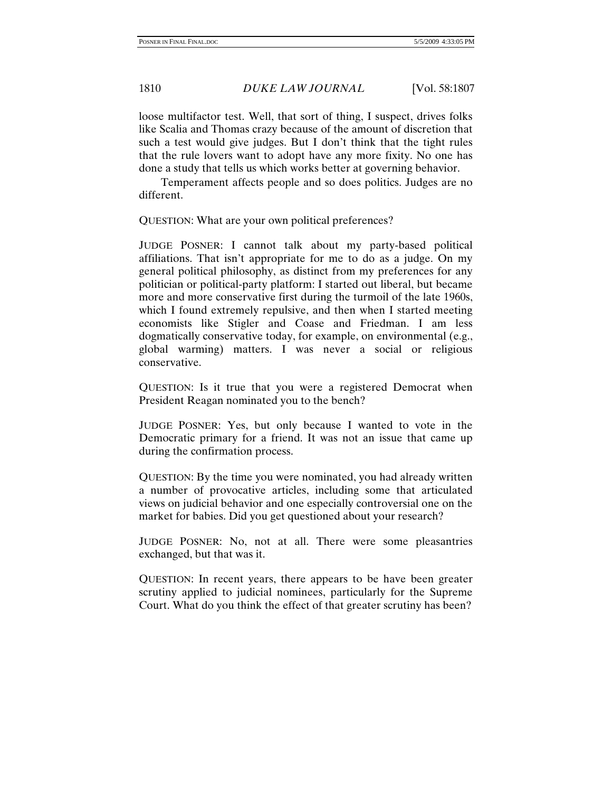loose multifactor test. Well, that sort of thing, I suspect, drives folks like Scalia and Thomas crazy because of the amount of discretion that such a test would give judges. But I don't think that the tight rules that the rule lovers want to adopt have any more fixity. No one has done a study that tells us which works better at governing behavior.

Temperament affects people and so does politics. Judges are no different.

QUESTION: What are your own political preferences?

JUDGE POSNER: I cannot talk about my party-based political affiliations. That isn't appropriate for me to do as a judge. On my general political philosophy, as distinct from my preferences for any politician or political-party platform: I started out liberal, but became more and more conservative first during the turmoil of the late 1960s, which I found extremely repulsive, and then when I started meeting economists like Stigler and Coase and Friedman. I am less dogmatically conservative today, for example, on environmental (e.g., global warming) matters. I was never a social or religious conservative.

QUESTION: Is it true that you were a registered Democrat when President Reagan nominated you to the bench?

JUDGE POSNER: Yes, but only because I wanted to vote in the Democratic primary for a friend. It was not an issue that came up during the confirmation process.

QUESTION: By the time you were nominated, you had already written a number of provocative articles, including some that articulated views on judicial behavior and one especially controversial one on the market for babies. Did you get questioned about your research?

JUDGE POSNER: No, not at all. There were some pleasantries exchanged, but that was it.

QUESTION: In recent years, there appears to be have been greater scrutiny applied to judicial nominees, particularly for the Supreme Court. What do you think the effect of that greater scrutiny has been?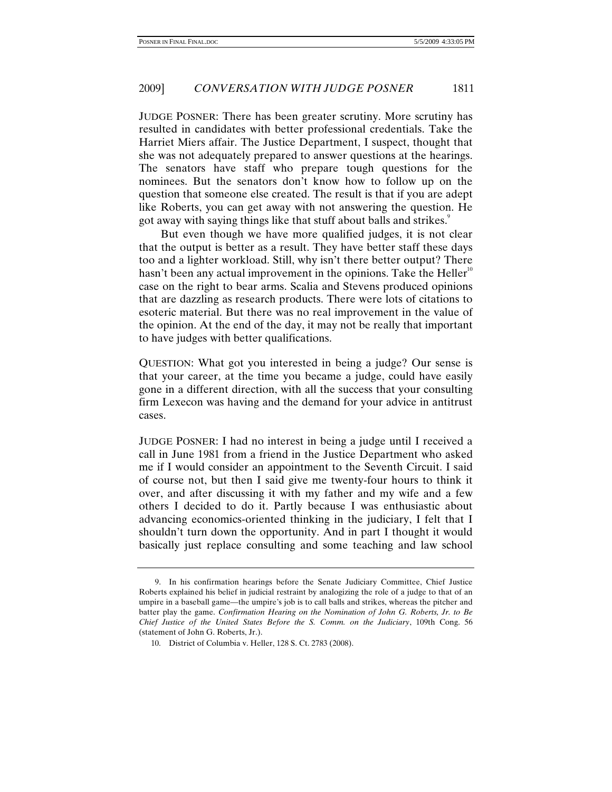JUDGE POSNER: There has been greater scrutiny. More scrutiny has resulted in candidates with better professional credentials. Take the Harriet Miers affair. The Justice Department, I suspect, thought that she was not adequately prepared to answer questions at the hearings. The senators have staff who prepare tough questions for the nominees. But the senators don't know how to follow up on the question that someone else created. The result is that if you are adept like Roberts, you can get away with not answering the question. He got away with saying things like that stuff about balls and strikes.<sup>9</sup>

But even though we have more qualified judges, it is not clear that the output is better as a result. They have better staff these days too and a lighter workload. Still, why isn't there better output? There hasn't been any actual improvement in the opinions. Take the Heller<sup>10</sup> case on the right to bear arms. Scalia and Stevens produced opinions that are dazzling as research products. There were lots of citations to esoteric material. But there was no real improvement in the value of the opinion. At the end of the day, it may not be really that important to have judges with better qualifications.

QUESTION: What got you interested in being a judge? Our sense is that your career, at the time you became a judge, could have easily gone in a different direction, with all the success that your consulting firm Lexecon was having and the demand for your advice in antitrust cases.

JUDGE POSNER: I had no interest in being a judge until I received a call in June 1981 from a friend in the Justice Department who asked me if I would consider an appointment to the Seventh Circuit. I said of course not, but then I said give me twenty-four hours to think it over, and after discussing it with my father and my wife and a few others I decided to do it. Partly because I was enthusiastic about advancing economics-oriented thinking in the judiciary, I felt that I shouldn't turn down the opportunity. And in part I thought it would basically just replace consulting and some teaching and law school

 <sup>9.</sup> In his confirmation hearings before the Senate Judiciary Committee, Chief Justice Roberts explained his belief in judicial restraint by analogizing the role of a judge to that of an umpire in a baseball game—the umpire's job is to call balls and strikes, whereas the pitcher and batter play the game. *Confirmation Hearing on the Nomination of John G. Roberts, Jr. to Be Chief Justice of the United States Before the S. Comm. on the Judiciary*, 109th Cong. 56 (statement of John G. Roberts, Jr.).

 <sup>10.</sup> District of Columbia v. Heller, 128 S. Ct. 2783 (2008).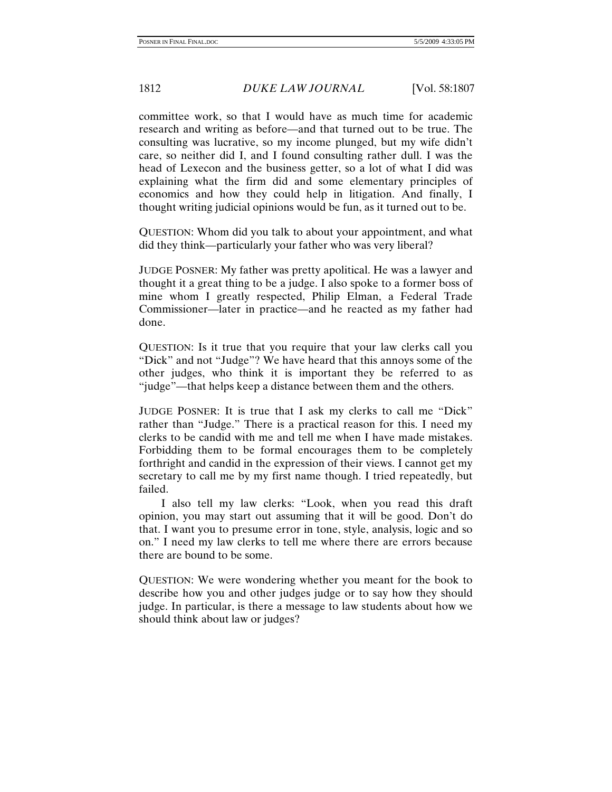committee work, so that I would have as much time for academic research and writing as before—and that turned out to be true. The consulting was lucrative, so my income plunged, but my wife didn't care, so neither did I, and I found consulting rather dull. I was the head of Lexecon and the business getter, so a lot of what I did was explaining what the firm did and some elementary principles of economics and how they could help in litigation. And finally, I thought writing judicial opinions would be fun, as it turned out to be.

QUESTION: Whom did you talk to about your appointment, and what did they think—particularly your father who was very liberal?

JUDGE POSNER: My father was pretty apolitical. He was a lawyer and thought it a great thing to be a judge. I also spoke to a former boss of mine whom I greatly respected, Philip Elman, a Federal Trade Commissioner—later in practice—and he reacted as my father had done.

QUESTION: Is it true that you require that your law clerks call you "Dick" and not "Judge"? We have heard that this annoys some of the other judges, who think it is important they be referred to as "judge"—that helps keep a distance between them and the others.

JUDGE POSNER: It is true that I ask my clerks to call me "Dick" rather than "Judge." There is a practical reason for this. I need my clerks to be candid with me and tell me when I have made mistakes. Forbidding them to be formal encourages them to be completely forthright and candid in the expression of their views. I cannot get my secretary to call me by my first name though. I tried repeatedly, but failed.

I also tell my law clerks: "Look, when you read this draft opinion, you may start out assuming that it will be good. Don't do that. I want you to presume error in tone, style, analysis, logic and so on." I need my law clerks to tell me where there are errors because there are bound to be some.

QUESTION: We were wondering whether you meant for the book to describe how you and other judges judge or to say how they should judge. In particular, is there a message to law students about how we should think about law or judges?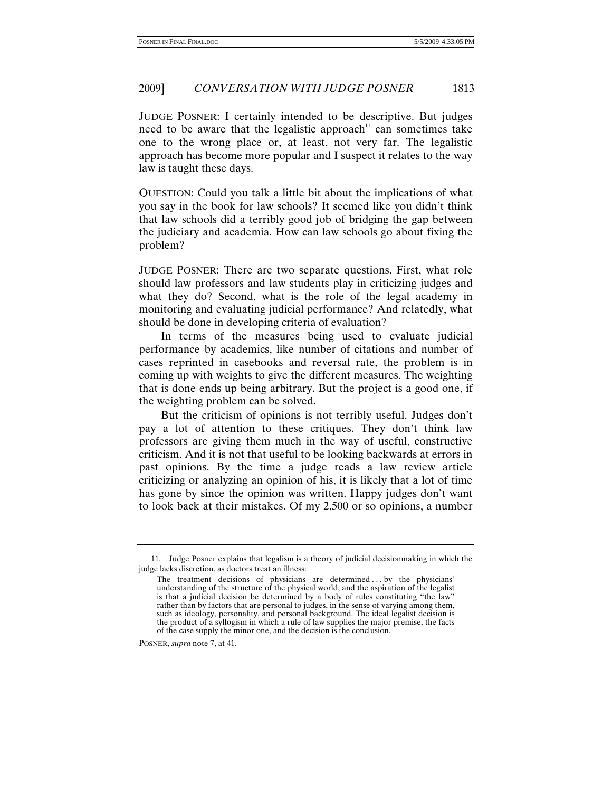## 2009] *CONVERSATION WITH JUDGE POSNER* 1813

JUDGE POSNER: I certainly intended to be descriptive. But judges need to be aware that the legalistic approach<sup>11</sup> can sometimes take one to the wrong place or, at least, not very far. The legalistic approach has become more popular and I suspect it relates to the way law is taught these days.

QUESTION: Could you talk a little bit about the implications of what you say in the book for law schools? It seemed like you didn't think that law schools did a terribly good job of bridging the gap between the judiciary and academia. How can law schools go about fixing the problem?

JUDGE POSNER: There are two separate questions. First, what role should law professors and law students play in criticizing judges and what they do? Second, what is the role of the legal academy in monitoring and evaluating judicial performance? And relatedly, what should be done in developing criteria of evaluation?

In terms of the measures being used to evaluate judicial performance by academics, like number of citations and number of cases reprinted in casebooks and reversal rate, the problem is in coming up with weights to give the different measures. The weighting that is done ends up being arbitrary. But the project is a good one, if the weighting problem can be solved.

But the criticism of opinions is not terribly useful. Judges don't pay a lot of attention to these critiques. They don't think law professors are giving them much in the way of useful, constructive criticism. And it is not that useful to be looking backwards at errors in past opinions. By the time a judge reads a law review article criticizing or analyzing an opinion of his, it is likely that a lot of time has gone by since the opinion was written. Happy judges don't want to look back at their mistakes. Of my 2,500 or so opinions, a number

POSNER, *supra* note 7, at 41.

 <sup>11.</sup> Judge Posner explains that legalism is a theory of judicial decisionmaking in which the judge lacks discretion, as doctors treat an illness:

The treatment decisions of physicians are determined . . . by the physicians' understanding of the structure of the physical world, and the aspiration of the legalist is that a judicial decision be determined by a body of rules constituting "the law" rather than by factors that are personal to judges, in the sense of varying among them, such as ideology, personality, and personal background. The ideal legalist decision is the product of a syllogism in which a rule of law supplies the major premise, the facts of the case supply the minor one, and the decision is the conclusion.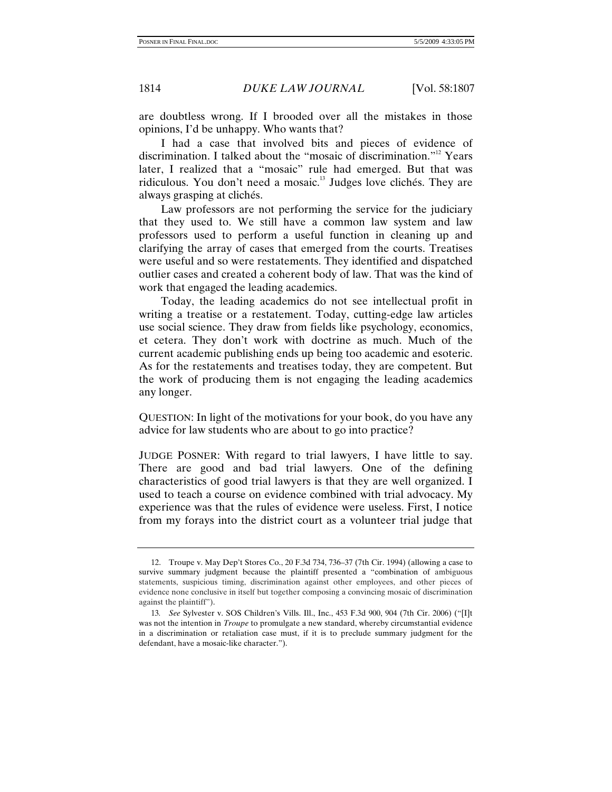are doubtless wrong. If I brooded over all the mistakes in those opinions, I'd be unhappy. Who wants that?

I had a case that involved bits and pieces of evidence of discrimination. I talked about the "mosaic of discrimination."12 Years later, I realized that a "mosaic" rule had emerged. But that was ridiculous. You don't need a mosaic.<sup>13</sup> Judges love clichés. They are always grasping at clichés.

Law professors are not performing the service for the judiciary that they used to. We still have a common law system and law professors used to perform a useful function in cleaning up and clarifying the array of cases that emerged from the courts. Treatises were useful and so were restatements. They identified and dispatched outlier cases and created a coherent body of law. That was the kind of work that engaged the leading academics.

Today, the leading academics do not see intellectual profit in writing a treatise or a restatement. Today, cutting-edge law articles use social science. They draw from fields like psychology, economics, et cetera. They don't work with doctrine as much. Much of the current academic publishing ends up being too academic and esoteric. As for the restatements and treatises today, they are competent. But the work of producing them is not engaging the leading academics any longer.

QUESTION: In light of the motivations for your book, do you have any advice for law students who are about to go into practice?

JUDGE POSNER: With regard to trial lawyers, I have little to say. There are good and bad trial lawyers. One of the defining characteristics of good trial lawyers is that they are well organized. I used to teach a course on evidence combined with trial advocacy. My experience was that the rules of evidence were useless. First, I notice from my forays into the district court as a volunteer trial judge that

 <sup>12.</sup> Troupe v. May Dep't Stores Co., 20 F.3d 734, 736–37 (7th Cir. 1994) (allowing a case to survive summary judgment because the plaintiff presented a "combination of ambiguous statements, suspicious timing, discrimination against other employees, and other pieces of evidence none conclusive in itself but together composing a convincing mosaic of discrimination against the plaintiff").

<sup>13</sup>*. See* Sylvester v. SOS Children's Vills. Ill., Inc., 453 F.3d 900, 904 (7th Cir. 2006) ("[I]t was not the intention in *Troupe* to promulgate a new standard, whereby circumstantial evidence in a discrimination or retaliation case must, if it is to preclude summary judgment for the defendant, have a mosaic-like character.").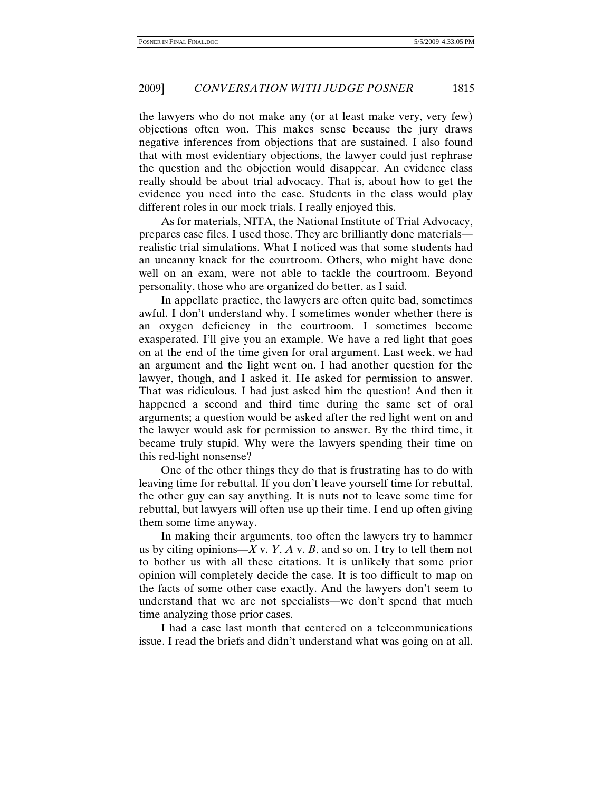the lawyers who do not make any (or at least make very, very few) objections often won. This makes sense because the jury draws negative inferences from objections that are sustained. I also found that with most evidentiary objections, the lawyer could just rephrase the question and the objection would disappear. An evidence class really should be about trial advocacy. That is, about how to get the evidence you need into the case. Students in the class would play different roles in our mock trials. I really enjoyed this.

As for materials, NITA, the National Institute of Trial Advocacy, prepares case files. I used those. They are brilliantly done materials realistic trial simulations. What I noticed was that some students had an uncanny knack for the courtroom. Others, who might have done well on an exam, were not able to tackle the courtroom. Beyond personality, those who are organized do better, as I said.

In appellate practice, the lawyers are often quite bad, sometimes awful. I don't understand why. I sometimes wonder whether there is an oxygen deficiency in the courtroom. I sometimes become exasperated. I'll give you an example. We have a red light that goes on at the end of the time given for oral argument. Last week, we had an argument and the light went on. I had another question for the lawyer, though, and I asked it. He asked for permission to answer. That was ridiculous. I had just asked him the question! And then it happened a second and third time during the same set of oral arguments; a question would be asked after the red light went on and the lawyer would ask for permission to answer. By the third time, it became truly stupid. Why were the lawyers spending their time on this red-light nonsense?

One of the other things they do that is frustrating has to do with leaving time for rebuttal. If you don't leave yourself time for rebuttal, the other guy can say anything. It is nuts not to leave some time for rebuttal, but lawyers will often use up their time. I end up often giving them some time anyway.

In making their arguments, too often the lawyers try to hammer us by citing opinions— $X$  v.  $Y$ ,  $A$  v.  $B$ , and so on. I try to tell them not to bother us with all these citations. It is unlikely that some prior opinion will completely decide the case. It is too difficult to map on the facts of some other case exactly. And the lawyers don't seem to understand that we are not specialists—we don't spend that much time analyzing those prior cases.

I had a case last month that centered on a telecommunications issue. I read the briefs and didn't understand what was going on at all.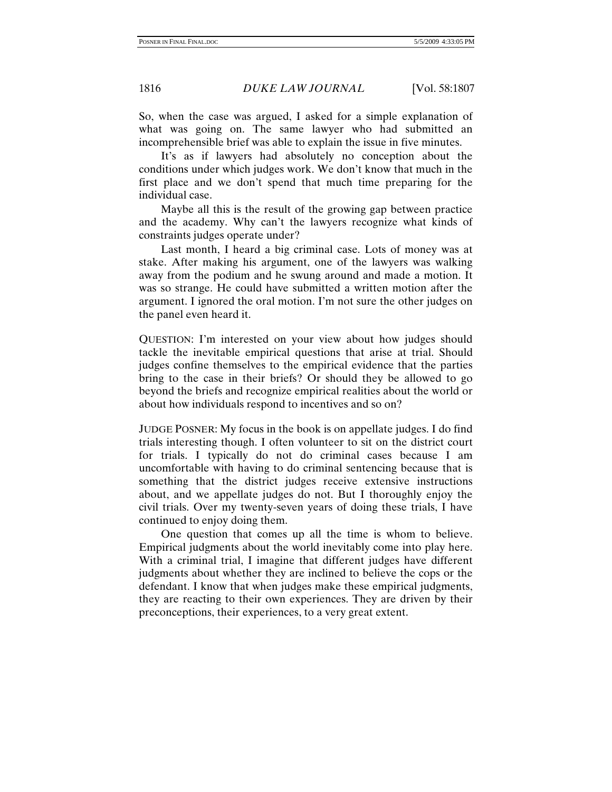So, when the case was argued, I asked for a simple explanation of what was going on. The same lawyer who had submitted an incomprehensible brief was able to explain the issue in five minutes.

It's as if lawyers had absolutely no conception about the conditions under which judges work. We don't know that much in the first place and we don't spend that much time preparing for the individual case.

Maybe all this is the result of the growing gap between practice and the academy. Why can't the lawyers recognize what kinds of constraints judges operate under?

Last month, I heard a big criminal case. Lots of money was at stake. After making his argument, one of the lawyers was walking away from the podium and he swung around and made a motion. It was so strange. He could have submitted a written motion after the argument. I ignored the oral motion. I'm not sure the other judges on the panel even heard it.

QUESTION: I'm interested on your view about how judges should tackle the inevitable empirical questions that arise at trial. Should judges confine themselves to the empirical evidence that the parties bring to the case in their briefs? Or should they be allowed to go beyond the briefs and recognize empirical realities about the world or about how individuals respond to incentives and so on?

JUDGE POSNER: My focus in the book is on appellate judges. I do find trials interesting though. I often volunteer to sit on the district court for trials. I typically do not do criminal cases because I am uncomfortable with having to do criminal sentencing because that is something that the district judges receive extensive instructions about, and we appellate judges do not. But I thoroughly enjoy the civil trials. Over my twenty-seven years of doing these trials, I have continued to enjoy doing them.

One question that comes up all the time is whom to believe. Empirical judgments about the world inevitably come into play here. With a criminal trial, I imagine that different judges have different judgments about whether they are inclined to believe the cops or the defendant. I know that when judges make these empirical judgments, they are reacting to their own experiences. They are driven by their preconceptions, their experiences, to a very great extent.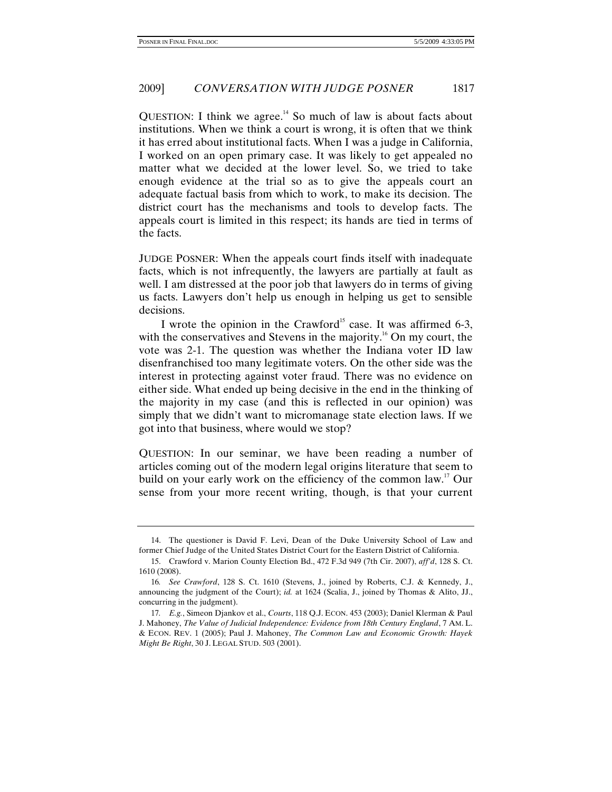QUESTION: I think we agree.<sup>14</sup> So much of law is about facts about institutions. When we think a court is wrong, it is often that we think it has erred about institutional facts. When I was a judge in California, I worked on an open primary case. It was likely to get appealed no matter what we decided at the lower level. So, we tried to take enough evidence at the trial so as to give the appeals court an adequate factual basis from which to work, to make its decision. The district court has the mechanisms and tools to develop facts. The appeals court is limited in this respect; its hands are tied in terms of the facts.

JUDGE POSNER: When the appeals court finds itself with inadequate facts, which is not infrequently, the lawyers are partially at fault as well. I am distressed at the poor job that lawyers do in terms of giving us facts. Lawyers don't help us enough in helping us get to sensible decisions.

I wrote the opinion in the Crawford<sup>15</sup> case. It was affirmed 6-3, with the conservatives and Stevens in the majority.<sup>16</sup> On my court, the vote was 2-1. The question was whether the Indiana voter ID law disenfranchised too many legitimate voters. On the other side was the interest in protecting against voter fraud. There was no evidence on either side. What ended up being decisive in the end in the thinking of the majority in my case (and this is reflected in our opinion) was simply that we didn't want to micromanage state election laws. If we got into that business, where would we stop?

QUESTION: In our seminar, we have been reading a number of articles coming out of the modern legal origins literature that seem to build on your early work on the efficiency of the common law.<sup>17</sup> Our sense from your more recent writing, though, is that your current

 <sup>14.</sup> The questioner is David F. Levi, Dean of the Duke University School of Law and former Chief Judge of the United States District Court for the Eastern District of California.

 <sup>15.</sup> Crawford v. Marion County Election Bd., 472 F.3d 949 (7th Cir. 2007), *aff'd*, 128 S. Ct. 1610 (2008).

<sup>16</sup>*. See Crawford*, 128 S. Ct. 1610 (Stevens, J., joined by Roberts, C.J. & Kennedy, J., announcing the judgment of the Court); *id.* at 1624 (Scalia, J., joined by Thomas & Alito, JJ., concurring in the judgment).

<sup>17</sup>*. E.g.*, Simeon Djankov et al., *Courts*, 118 Q.J. ECON. 453 (2003); Daniel Klerman & Paul J. Mahoney, *The Value of Judicial Independence: Evidence from 18th Century England*, 7 AM. L. & ECON. REV. 1 (2005); Paul J. Mahoney, *The Common Law and Economic Growth: Hayek Might Be Right*, 30 J. LEGAL STUD. 503 (2001).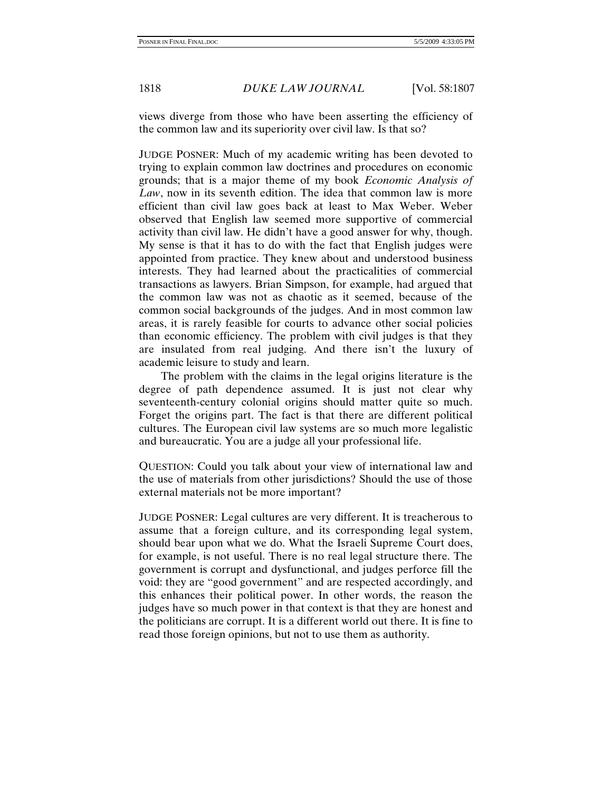views diverge from those who have been asserting the efficiency of the common law and its superiority over civil law. Is that so?

JUDGE POSNER: Much of my academic writing has been devoted to trying to explain common law doctrines and procedures on economic grounds; that is a major theme of my book *Economic Analysis of Law*, now in its seventh edition. The idea that common law is more efficient than civil law goes back at least to Max Weber. Weber observed that English law seemed more supportive of commercial activity than civil law. He didn't have a good answer for why, though. My sense is that it has to do with the fact that English judges were appointed from practice. They knew about and understood business interests. They had learned about the practicalities of commercial transactions as lawyers. Brian Simpson, for example, had argued that the common law was not as chaotic as it seemed, because of the common social backgrounds of the judges. And in most common law areas, it is rarely feasible for courts to advance other social policies than economic efficiency. The problem with civil judges is that they are insulated from real judging. And there isn't the luxury of academic leisure to study and learn.

The problem with the claims in the legal origins literature is the degree of path dependence assumed. It is just not clear why seventeenth-century colonial origins should matter quite so much. Forget the origins part. The fact is that there are different political cultures. The European civil law systems are so much more legalistic and bureaucratic. You are a judge all your professional life.

QUESTION: Could you talk about your view of international law and the use of materials from other jurisdictions? Should the use of those external materials not be more important?

JUDGE POSNER: Legal cultures are very different. It is treacherous to assume that a foreign culture, and its corresponding legal system, should bear upon what we do. What the Israeli Supreme Court does, for example, is not useful. There is no real legal structure there. The government is corrupt and dysfunctional, and judges perforce fill the void: they are "good government" and are respected accordingly, and this enhances their political power. In other words, the reason the judges have so much power in that context is that they are honest and the politicians are corrupt. It is a different world out there. It is fine to read those foreign opinions, but not to use them as authority.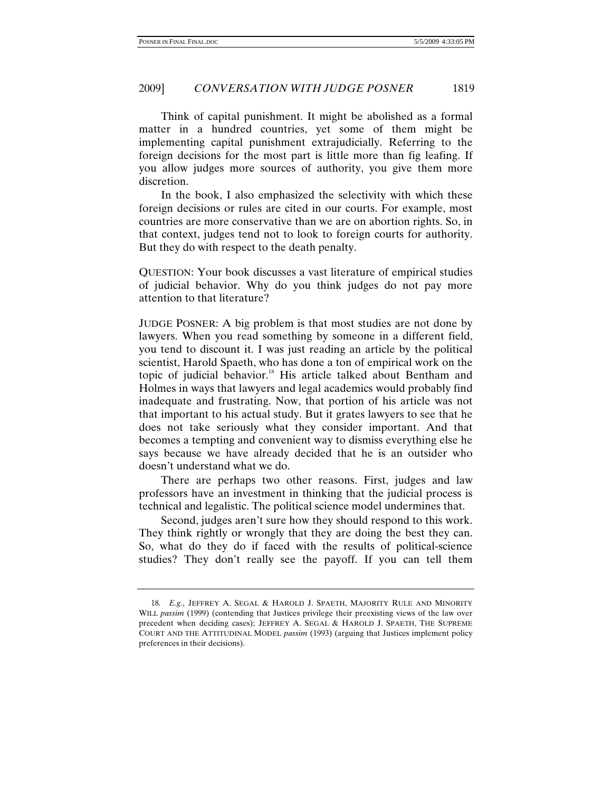Think of capital punishment. It might be abolished as a formal matter in a hundred countries, yet some of them might be implementing capital punishment extrajudicially. Referring to the foreign decisions for the most part is little more than fig leafing. If you allow judges more sources of authority, you give them more discretion.

In the book, I also emphasized the selectivity with which these foreign decisions or rules are cited in our courts. For example, most countries are more conservative than we are on abortion rights. So, in that context, judges tend not to look to foreign courts for authority. But they do with respect to the death penalty.

QUESTION: Your book discusses a vast literature of empirical studies of judicial behavior. Why do you think judges do not pay more attention to that literature?

JUDGE POSNER: A big problem is that most studies are not done by lawyers. When you read something by someone in a different field, you tend to discount it. I was just reading an article by the political scientist, Harold Spaeth, who has done a ton of empirical work on the topic of judicial behavior.<sup>18</sup> His article talked about Bentham and Holmes in ways that lawyers and legal academics would probably find inadequate and frustrating. Now, that portion of his article was not that important to his actual study. But it grates lawyers to see that he does not take seriously what they consider important. And that becomes a tempting and convenient way to dismiss everything else he says because we have already decided that he is an outsider who doesn't understand what we do.

There are perhaps two other reasons. First, judges and law professors have an investment in thinking that the judicial process is technical and legalistic. The political science model undermines that.

Second, judges aren't sure how they should respond to this work. They think rightly or wrongly that they are doing the best they can. So, what do they do if faced with the results of political-science studies? They don't really see the payoff. If you can tell them

<sup>18</sup>*. E.g.*, JEFFREY A. SEGAL & HAROLD J. SPAETH, MAJORITY RULE AND MINORITY WILL *passim* (1999) (contending that Justices privilege their preexisting views of the law over precedent when deciding cases); JEFFREY A. SEGAL & HAROLD J. SPAETH, THE SUPREME COURT AND THE ATTITUDINAL MODEL *passim* (1993) (arguing that Justices implement policy preferences in their decisions).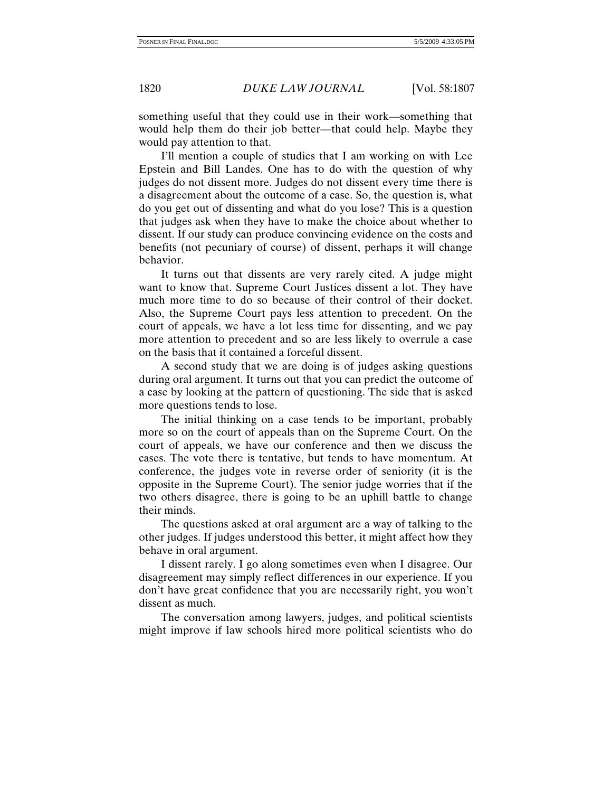something useful that they could use in their work—something that would help them do their job better—that could help. Maybe they would pay attention to that.

I'll mention a couple of studies that I am working on with Lee Epstein and Bill Landes. One has to do with the question of why judges do not dissent more. Judges do not dissent every time there is a disagreement about the outcome of a case. So, the question is, what do you get out of dissenting and what do you lose? This is a question that judges ask when they have to make the choice about whether to dissent. If our study can produce convincing evidence on the costs and benefits (not pecuniary of course) of dissent, perhaps it will change behavior.

It turns out that dissents are very rarely cited. A judge might want to know that. Supreme Court Justices dissent a lot. They have much more time to do so because of their control of their docket. Also, the Supreme Court pays less attention to precedent. On the court of appeals, we have a lot less time for dissenting, and we pay more attention to precedent and so are less likely to overrule a case on the basis that it contained a forceful dissent.

A second study that we are doing is of judges asking questions during oral argument. It turns out that you can predict the outcome of a case by looking at the pattern of questioning. The side that is asked more questions tends to lose.

The initial thinking on a case tends to be important, probably more so on the court of appeals than on the Supreme Court. On the court of appeals, we have our conference and then we discuss the cases. The vote there is tentative, but tends to have momentum. At conference, the judges vote in reverse order of seniority (it is the opposite in the Supreme Court). The senior judge worries that if the two others disagree, there is going to be an uphill battle to change their minds.

The questions asked at oral argument are a way of talking to the other judges. If judges understood this better, it might affect how they behave in oral argument.

I dissent rarely. I go along sometimes even when I disagree. Our disagreement may simply reflect differences in our experience. If you don't have great confidence that you are necessarily right, you won't dissent as much.

The conversation among lawyers, judges, and political scientists might improve if law schools hired more political scientists who do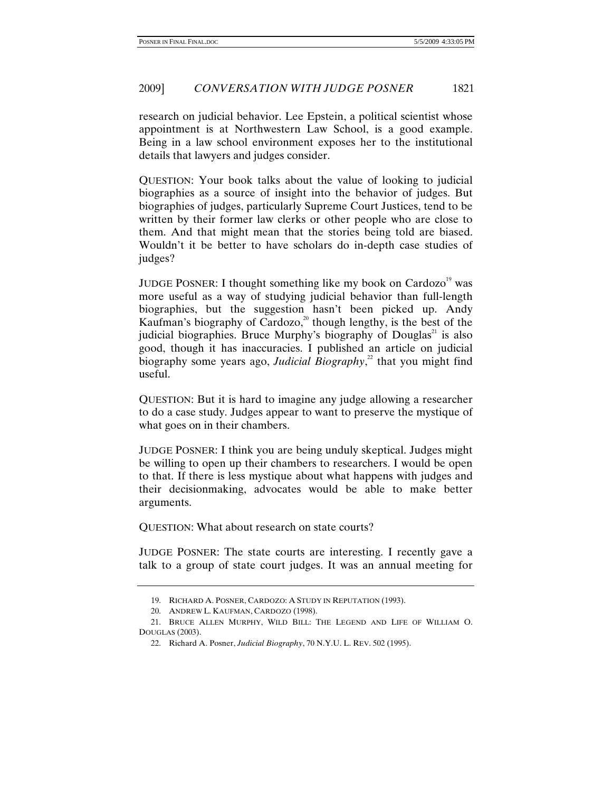## 2009] *CONVERSATION WITH JUDGE POSNER* 1821

research on judicial behavior. Lee Epstein, a political scientist whose appointment is at Northwestern Law School, is a good example. Being in a law school environment exposes her to the institutional details that lawyers and judges consider.

QUESTION: Your book talks about the value of looking to judicial biographies as a source of insight into the behavior of judges. But biographies of judges, particularly Supreme Court Justices, tend to be written by their former law clerks or other people who are close to them. And that might mean that the stories being told are biased. Wouldn't it be better to have scholars do in-depth case studies of judges?

JUDGE POSNER: I thought something like my book on Cardozo<sup>19</sup> was more useful as a way of studying judicial behavior than full-length biographies, but the suggestion hasn't been picked up. Andy Kaufman's biography of Cardozo, $^{20}$  though lengthy, is the best of the judicial biographies. Bruce Murphy's biography of Douglas<sup> $21$ </sup> is also good, though it has inaccuracies. I published an article on judicial biography some years ago, *Judicial Biography*, 22 that you might find useful.

QUESTION: But it is hard to imagine any judge allowing a researcher to do a case study. Judges appear to want to preserve the mystique of what goes on in their chambers.

JUDGE POSNER: I think you are being unduly skeptical. Judges might be willing to open up their chambers to researchers. I would be open to that. If there is less mystique about what happens with judges and their decisionmaking, advocates would be able to make better arguments.

QUESTION: What about research on state courts?

JUDGE POSNER: The state courts are interesting. I recently gave a talk to a group of state court judges. It was an annual meeting for

 <sup>19.</sup> RICHARD A. POSNER, CARDOZO: A STUDY IN REPUTATION (1993).

 <sup>20.</sup> ANDREW L. KAUFMAN, CARDOZO (1998).

 <sup>21.</sup> BRUCE ALLEN MURPHY, WILD BILL: THE LEGEND AND LIFE OF WILLIAM O. DOUGLAS (2003).

 <sup>22.</sup> Richard A. Posner, *Judicial Biography*, 70 N.Y.U. L. REV. 502 (1995).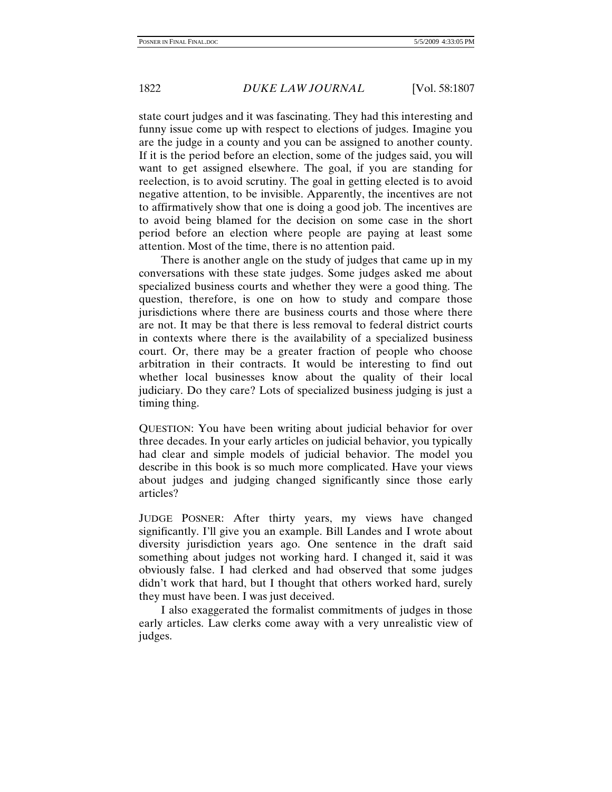state court judges and it was fascinating. They had this interesting and funny issue come up with respect to elections of judges. Imagine you are the judge in a county and you can be assigned to another county. If it is the period before an election, some of the judges said, you will want to get assigned elsewhere. The goal, if you are standing for reelection, is to avoid scrutiny. The goal in getting elected is to avoid negative attention, to be invisible. Apparently, the incentives are not to affirmatively show that one is doing a good job. The incentives are to avoid being blamed for the decision on some case in the short period before an election where people are paying at least some attention. Most of the time, there is no attention paid.

There is another angle on the study of judges that came up in my conversations with these state judges. Some judges asked me about specialized business courts and whether they were a good thing. The question, therefore, is one on how to study and compare those jurisdictions where there are business courts and those where there are not. It may be that there is less removal to federal district courts in contexts where there is the availability of a specialized business court. Or, there may be a greater fraction of people who choose arbitration in their contracts. It would be interesting to find out whether local businesses know about the quality of their local judiciary. Do they care? Lots of specialized business judging is just a timing thing.

QUESTION: You have been writing about judicial behavior for over three decades. In your early articles on judicial behavior, you typically had clear and simple models of judicial behavior. The model you describe in this book is so much more complicated. Have your views about judges and judging changed significantly since those early articles?

JUDGE POSNER: After thirty years, my views have changed significantly. I'll give you an example. Bill Landes and I wrote about diversity jurisdiction years ago. One sentence in the draft said something about judges not working hard. I changed it, said it was obviously false. I had clerked and had observed that some judges didn't work that hard, but I thought that others worked hard, surely they must have been. I was just deceived.

I also exaggerated the formalist commitments of judges in those early articles. Law clerks come away with a very unrealistic view of judges.